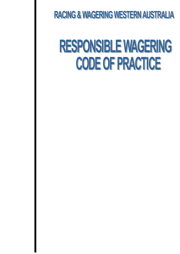**RACING & WAGERING WESTERN AUSTRALIA** 

# **RESPONSIBLE WAGERING CODE OF PRACTICE**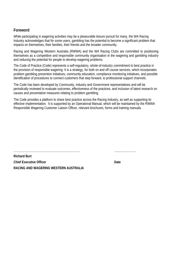## **Foreword**

While participating in wagering activities may be a pleasurable leisure pursuit for many, the WA Racing Industry acknowledges that for some users, gambling has the potential to become a significant problem that impacts on themselves, their families, their friends and the broader community.

Racing and Wagering Western Australia (RWWA) and the WA Racing Clubs are committed to positioning themselves as a competitive and responsible community organisation in the wagering and gambling industry and reducing the potential for people to develop wagering problems.

The Code of Practice (Code) represents a self-regulatory, whole-of-industry commitment to best practice in the provision of responsible wagering. It is a strategy, for both on and off course services, which incorporates problem gambling prevention initiatives, community education, compliance monitoring initiatives, and possible identification of procedures to connect customers that step forward, to professional support channels.

The Code has been developed by Community, Industry and Government representatives and will be periodically reviewed to evaluate outcomes, effectiveness of the practices, and inclusion of latest research on causes and preventative measures relating to problem gambling.

The Code provides a platform to share best practice across the Racing Industry, as well as supporting its effective implementation. It is supported by an Operational Manual, which will be maintained by the RWWA Responsible Wagering Customer Liaison Officer, relevant brochures, forms and training manuals.

**\_\_\_\_\_\_\_\_\_\_\_\_\_\_\_\_\_\_\_\_\_\_\_\_\_\_\_\_\_\_\_\_\_\_\_\_\_\_\_\_ \_\_\_\_\_\_\_\_\_\_\_\_\_** 

**Richard Burt Chief Executive Officer Chief Executive Officer Chief Executive Officer Chief Act 2018 RACING AND WAGERING WESTERN AUSTRALIA**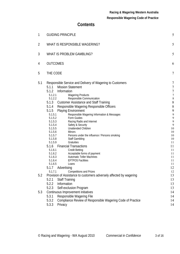# **Contents**

| 1              | <b>GUIDING PRINCIPLE</b>                                                                                                                                                                                                                                                                                                                                                                                                                                                                                                                                                                                                                                                                                                                                                                                                                                                                                                                                                                                                      | 5                                                                                                                                                                                |
|----------------|-------------------------------------------------------------------------------------------------------------------------------------------------------------------------------------------------------------------------------------------------------------------------------------------------------------------------------------------------------------------------------------------------------------------------------------------------------------------------------------------------------------------------------------------------------------------------------------------------------------------------------------------------------------------------------------------------------------------------------------------------------------------------------------------------------------------------------------------------------------------------------------------------------------------------------------------------------------------------------------------------------------------------------|----------------------------------------------------------------------------------------------------------------------------------------------------------------------------------|
| $\overline{2}$ | WHAT IS RESPONSIBLE WAGERING?                                                                                                                                                                                                                                                                                                                                                                                                                                                                                                                                                                                                                                                                                                                                                                                                                                                                                                                                                                                                 | 5                                                                                                                                                                                |
| 3              | WHAT IS PROBLEM GAMBLING?                                                                                                                                                                                                                                                                                                                                                                                                                                                                                                                                                                                                                                                                                                                                                                                                                                                                                                                                                                                                     | 5                                                                                                                                                                                |
| 4              | <b>OUTCOMES</b>                                                                                                                                                                                                                                                                                                                                                                                                                                                                                                                                                                                                                                                                                                                                                                                                                                                                                                                                                                                                               | 6                                                                                                                                                                                |
| 5              | THE CODE                                                                                                                                                                                                                                                                                                                                                                                                                                                                                                                                                                                                                                                                                                                                                                                                                                                                                                                                                                                                                      | 7                                                                                                                                                                                |
| 5.1            | Responsible Service and Delivery of Wagering to Customers<br><b>Mission Statement</b><br>5.1.1<br>5.1.2<br>Information<br>5.1.2.1<br><b>Wagering Products</b><br>5.1.2.2<br>Responsible Communication<br>5.1.3<br><b>Customer Assistance and Staff Training</b><br>5.1.4<br>Responsible Wagering Responsible Officers<br><b>Playing Environment</b><br>5.1.5<br>5.1.5.1<br>Responsible Wagering Information & Messages<br>5.1.5.2<br>Form Guides<br>Racing Radio and Internet<br>5.1.5.3<br>5.1.5.4<br>Safety & Security<br><b>Unattended Children</b><br>5.1.5.5<br>5.1.5.6<br><b>Minors</b><br>5.1.5.7<br>Persons under the influence / Persons smoking<br>5.1.5.8<br><b>Staff Gambling</b><br>Gratuities<br>5.1.5.9<br>5.1.6<br><b>Financial Transactions</b><br><b>Credit Betting</b><br>5.1.6.1<br>Acceptable forms of payment<br>5.1.6.2<br><b>Automatic Teller Machines</b><br>5.1.6.3<br><b>EFTPOS Facilities</b><br>5.1.6.4<br>5.1.6.5<br>Loans<br>5.1.7<br>Advertising<br><b>Competitions and Prizes</b><br>5.1.7.1 | 7<br>7<br>$\overline{\phantom{a}}$<br>8<br>8<br>8<br>9<br>$\mathcal{G}$<br>$\mathcal{G}$<br>9<br>9<br>10<br>10<br>10<br>10<br>11<br>11<br>11<br>11<br>11<br>11<br>11<br>12<br>12 |
| 5.2            | Provision of Assistance to customers adversely affected by wagering<br>5.2.1<br><b>Staff Training</b><br>5.2.2<br>Information<br>Self-exclusion Program<br>5.2.3                                                                                                                                                                                                                                                                                                                                                                                                                                                                                                                                                                                                                                                                                                                                                                                                                                                              | 13<br>13<br>13<br>13                                                                                                                                                             |
| 5.3            | Continuous Improvement initiatives<br>5.3.1<br>Responsible Wagering File<br>5.3.2<br>Compliance Review of Responsible Wagering Code of Practice<br>5.3.3<br>Privacy                                                                                                                                                                                                                                                                                                                                                                                                                                                                                                                                                                                                                                                                                                                                                                                                                                                           | 14<br>14<br>14<br>14                                                                                                                                                             |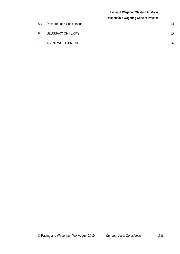## **Racing & Wagering Western Australia Responsible Wagering Code of Practice**

| 5.4            | <b>Research and Consultation</b> | 14 |
|----------------|----------------------------------|----|
| 6              | <b>GLOSSARY OF TERMS</b>         |    |
| $\overline{7}$ | ACKNOWLEDGEMENTS                 | 16 |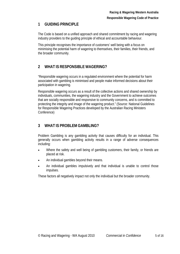# **1 GUIDING PRINCIPLE**

The Code is based on a unified approach and shared commitment by racing and wagering industry providers to the guiding principle of ethical and accountable behaviour.

This principle recognises the importance of customers' well being with a focus on minimising the potential harm of wagering to themselves, their families, their friends, and the broader community.

# **2 WHAT IS RESPONSIBLE WAGERING?**

"Responsible wagering occurs in a regulated environment where the potential for harm associated with gambling is minimised and people make informed decisions about their participation in wagering.

Responsible wagering occurs as a result of the collective actions and shared ownership by individuals, communities, the wagering industry and the Government to achieve outcomes that are socially responsible and responsive to community concerns, and is committed to protecting the integrity and image of the wagering product." (Source: National Guidelines for Responsible Wagering Practices developed by the Australian Racing Ministers Conference)

# **3 WHAT IS PROBLEM GAMBLING?**

Problem Gambling is any gambling activity that causes difficulty for an individual. This generally occurs when gambling activity results in a range of adverse consequences including:

- Where the safety and well being of gambling customers, their family, or friends are placed at risk.
- An individual gambles beyond their means.
- An individual gambles impulsively and that individual is unable to control those impulses.

These factors all negatively impact not only the individual but the broader community.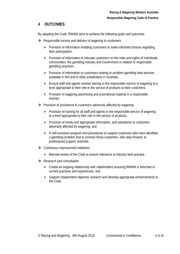# **4 OUTCOMES**

By adopting the Code, RWWA aims to achieve the following goals and outcomes.

- *Responsible service and delivery of wagering to customers*
	- $\triangleright$  Provision of information enabling customers to make informed choices regarding their participation;
	- $\triangleright$  Provision of information to educate customers on the roles and rights of individuals, communities, the gambling industry and Government in relation to responsible gambling practices.
	- $\triangleright$  Provision of information to customers relating to problem gambling help services available in WA and in other jurisdictions in Australia.
	- $\triangleright$  Ensure staff and agents receive training in the responsible service of wagering at a level appropriate to their role in the service of products to their customers;
	- $\triangleright$  Provision of wagering advertising and promotional material in a responsible manner.
- *Provision of assistance to customers adversely affected by wagering*
	- $\triangleright$  Provision of training for all staff and agents in the responsible service of wagering at a level appropriate to their role in the service of products;
	- $\triangleright$  Provision of timely and appropriate information, and assistance to customers adversely affected by wagering; and
	- $\triangleright$  A self-exclusion program and procedures to support customers who have identified a gambling problem and to connect these customers, who step forward, to professional support channels.
- *Continuous improvement initiatives:*
	- $\triangleright$  Biennial review of the Code to ensure relevance to industry best practise.
- *Research and consultation*
	- $\triangleright$  Create an ongoing relationship with stakeholders ensuring RWWA is informed of current practices and experiences; and
	- $\triangleright$  Support independent objective research and develop appropriate enhancements to the Code.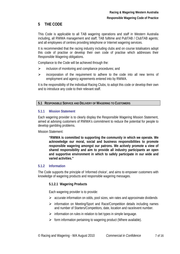# **5 THE CODE**

This Code is applicable to all TAB wagering operations and staff in Western Australia including, all RWWA management and staff; TAB fulltime and PubTAB / ClubTAB agents; and all employees of centres providing telephone or Internet wagering services.

It is recommended that the racing industry including clubs and on course totalisators adopt this code of practise or develop their own code of practise which addresses their Responsible Wagering obligations.

Compliance to the Code will be achieved through the:

- $\triangleright$  inclusion of monitoring and compliance procedures; and
- $\triangleright$  incorporation of the requirement to adhere to the code into all new terms of employment and agency agreements entered into by RWWA.

It is the responsibility of the individual Racing Clubs, to adopt this code or develop their own and to introduce any code to their relevant staff.

## **5.1 RESPONSIBLE SERVICE AND DELIVERY OF WAGERING TO CUSTOMERS**

## **5.1.1 Mission Statement**

Each wagering provider is to clearly display the Responsible Wagering Mission Statement, aimed at advising customers of RWWA's commitment to reduce the potential for people to develop gambling problems.

Mission Statement:

**"RWWA is committed to supporting the community in which we operate. We acknowledge our moral, social and business responsibilities to promote responsible wagering amongst our patrons. We actively promote a view of shared responsibility and aim to provide all industry participants an open and supportive environment in which to safely participate in our wide and varied activities."** 

## **5.1.2 Information**

The Code supports the principle of 'informed choice', and aims to empower customers with knowledge of wagering products and responsible wagering messages.

## **5.1.2.1 Wagering Products**

Each wagering provider is to provide:

- $\triangleright$  accurate information on odds, pool sizes, win rates and approximate dividends
- information on Meeting/Sport and Race/Competition details including names and number of Starters/Competitors, date, location and race/event number.
- $\triangleright$  information on rules in relation to bet types in simple language.
- $\triangleright$  form information pertaining to wagering product (Where available).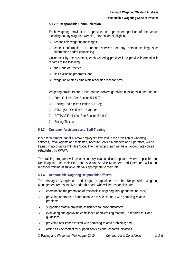#### **Responsible Wagering Code of Practice**

## **5.1.2.2 Responsible Communication**

Each wagering provider is to provide, in a prominent position of the venue, including on any wagering website, information highlighting:

- $\triangleright$  responsible wagering messages;
- $\triangleright$  contact information of support services for any person seeking such information and/or counselling.

On request by the customer, each wagering provider is to provide information in regards to the following:

- $\triangleright$  the Code of Practice:
- $\triangleright$  self-exclusion programs; and
- $\triangleright$  wagering related complaints resolution mechanisms.

Wagering providers are to incorporate problem gambling messages in and / or on:

- $\triangleright$  Form Guides (See Section 5.1.5.2);
- $\triangleright$  Racing Radio (See Section 5.1.5.3);
- $\triangleright$  ATMs (See Section 5.1.6.3); and
- EFTPOS Facilities (See Section 5.1.6.4).
- $\triangleright$  Betting Tickets

#### **5.1.3 Customer Assistance and Staff Training**

It is a requirement that all RWWA employees involved in the provision of wagering services, Retail Agents and their staff, Account Service Managers and Operators, will be trained in accordance with this Code. The training program will be an appropriate course established by RWWA.

The training programs will be continuously evaluated and updated where applicable and Retail Agents and their Staff, and Account Service Managers and Operators will attend refresher training at suitable intervals appropriate to their role.

#### **5.1.4 Responsible Wagering Responsible Officers**

The Manager Compliance and Legal is appointed as the Responsible Wagering Management representative under this code who will be responsible for:

- $\triangleright$  coordinating the promotion of responsible wagering throughout the industry;
- $\triangleright$  providing appropriate information to assist customers with gambling-related problems;
- $\triangleright$  supporting staff in providing assistance to those customers;
- $\triangleright$  evaluating and approving compliance of advertising material, in regards to Code guidelines;
- $\triangleright$  providing assistance to staff with gambling-related problems; and
- $\triangleright$  acting as key contact for support services and research initiatives.

© Racing and Wagering - WA August 2010 *Commercial in Confidence* 8 of 16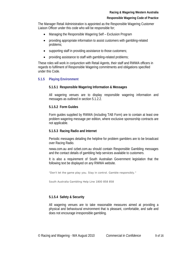#### **Responsible Wagering Code of Practice**

The Manager Retail Administration is appointed as the Responsible Wagering Customer Liaison Officer under this code who will be responsible for;

- Managing the Responsible Wagering Self Exclusion Program
- providing appropriate information to assist customers with gambling-related problems;
- supporting staff in providing assistance to those customers;
- providing assistance to staff with gambling-related problems;

These roles will work in conjunction with Retail Agents, their staff and RWWA officers in regards to fulfilment of Responsible Wagering commitments and obligations specified under this Code.

## **5.1.5 Playing Environment**

#### **5.1.5.1 Responsible Wagering Information & Messages**

All wagering venues are to display responsible wagering information and messages as outlined in section 5.1.2.2.

#### **5.1.5.2 Form Guides**

Form guides supplied by RWWA (including TAB Form) are to contain at least one problem wagering message per edition, where exclusive sponsorship contracts are not applicable.

#### **5.1.5.3 Racing Radio and Internet**

Periodic messages detailing the helpline for problem gamblers are to be broadcast over Racing Radio.

rwwa.com.au and ozbet.com.au should contain Responsible Gambling messages and the contact details of gambling help services available to customers.

It is also a requirement of South Australian Government legislation that the following text be displayed on any RWWA website.

*"Don't let the game play you. Stay in control. Gamble responsibly."*

South Australia Gambling Help Line 1800 858 858

## **5.1.5.4 Safety & Security**

All wagering venues are to take reasonable measures aimed at providing a physical and behavioural environment that is pleasant, comfortable, and safe and does not encourage irresponsible gambling.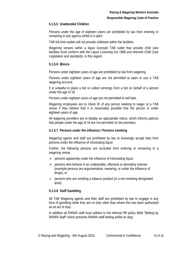## **5.1.5.5 Unattended Children**

Persons under the age of eighteen years are prohibited by law from entering or remaining in any agency whilst it is open.

TAB full time outlets will not provide childcare within the facilities.

Wagering venues within a liquor licensed TAB outlet that provide child care facilities must conform with the Liquor Licensing Act 1988 and relevant Child Care Legislation and standards, in this regard.

## **5.1.5.6 Minors**

Persons under eighteen years of age are prohibited by law from wagering.

Persons under eighteen years of age are not permitted to open or use a TAB wagering account.

It is unlawful to place a bet or collect winnings from a bet on behalf of a person under the age of 18.

Persons under eighteen years of age are not permitted to sell bets.

Wagering employees are to check ID of any person seeking to wager at a TAB venue if they believe that it is reasonably possible that the person is under eighteen years of age.

All wagering providers are to display an appropriate notice, which informs patrons that people under the age of 18 are not permitted on the premises.

## **5.1.5.7 Persons under the influence / Persons smoking**

Wagering agents and staff are prohibited by law to knowingly accept bets from persons under the influence of intoxicating liquor.

Further, the following persons are excluded from entering or remaining in a wagering venue:

- $\triangleright$  persons apparently under the influence of intoxicating liquor;
- $\triangleright$  persons who behave in an undesirable, offensive or disorderly manner (example persons are argumentative, swearing, or under the influence of drugs); or
- $\triangleright$  persons who are smoking a tobacco product (in a non-smoking designated area).

## **5.1.5.8 Staff Gambling**

All TAB Wagering agents and their staff are prohibited by law to engage in any form of gambling while they are on duty other than where this has been authorised as an act of duty.

In addition all RWWA staff must adhere to the internal HR policy titled "Betting by RWWA Staff" which prevents RWWA staff betting whilst on duty.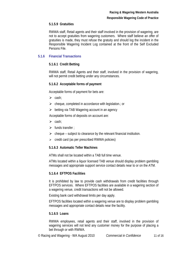## **5.1.5.9 Gratuities**

RWWA staff, Retail agents and their staff involved in the provision of wagering, are not to accept gratuities from wagering customers. Where staff believe an offer of gratuities is made, they must refuse the gratuity and should log the incident in the Responsible Wagering Incident Log contained at the front of the Self Excluded Persons File.

## **5.1.6 Financial Transactions**

## **5.1.6.1 Credit Betting**

RWWA staff, Retail Agents and their staff, involved in the provision of wagering, will not permit credit betting under any circumstances.

## **5.1.6.2 Acceptable forms of payment**

Acceptable forms of payment for bets are:

- $\triangleright$  cash:
- $\triangleright$  cheque, completed in accordance with legislation.; or
- $\triangleright$  betting via TAB Wagering account in an agency

Acceptable forms of deposits on account are:

- $\triangleright$  cash:
- $\triangleright$  funds transfer :
- $\triangleright$  cheque subject to clearance by the relevant financial institution.
- $\triangleright$  credit card (as per prescribed RWWA policies)

## **5.1.6.3 Automatic Teller Machines**

ATMs shall not be located within a TAB full time venue.

ATMs located within a liquor licensed TAB venue should display problem gambling messages and appropriate support service contact details near to or on the ATM.

## **5.1.6.4 EFTPOS Facilities**

It is prohibited by law to provide cash withdrawals from credit facilities through EFTPOS services. Where EFTPOS facilities are available in a wagering section of a wagering venue, credit transactions will not be allowed.

Existing bank card withdrawal limits per day apply.

EFTPOS facilities located within a wagering venue are to display problem gambling messages and appropriate contact details near the facility.

## **5.1.6.5 Loans**

RWWA employees, retail agents and their staff, involved in the provision of wagering services will not lend any customer money for the purpose of placing a bet through or with RWWA.

© Racing and Wagering - WA August 2010 *Commercial in Confidence* 11 of 16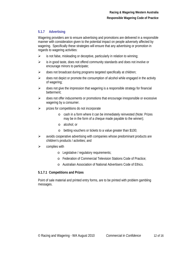## **5.1.7 Advertising**

Wagering providers are to ensure advertising and promotions are delivered in a responsible manner with consideration given to the potential impact on people adversely affected by wagering. Specifically these strategies will ensure that any advertising or promotion in regards to wagering activities:

- $\triangleright$  is not false, misleading or deceptive, particularly in relation to winning;
- $\triangleright$  is in good taste, does not offend community standards and does not involve or encourage minors to participate;
- $\triangleright$  does not broadcast during programs targeted specifically at children;
- $\triangleright$  does not depict or promote the consumption of alcohol while engaged in the activity of wagering;
- $\triangleright$  does not give the impression that wagering is a responsible strategy for financial betterment;
- $\triangleright$  does not offer inducements or promotions that encourage irresponsible or excessive wagering by a consumer.
- $\triangleright$  prizes for competitions do not incorporate
	- o cash in a form where it can be immediately reinvested (Note: Prizes may be in the form of a cheque made payable to the winner);
	- o alcohol; or
	- o betting vouchers or tickets to a value greater than \$100;
- $\triangleright$  avoids cooperative advertising with companies whose predominant products are children's products / activities; and
- $\triangleright$  complies with
	- o Legislative / regulatory requirements;
	- o Federation of Commercial Television Stations Code of Practice;
	- o Australian Association of National Advertisers Code of Ethics.

## **5.1.7.1 Competitions and Prizes**

Point of sale material and printed entry forms, are to be printed with problem gambling messages.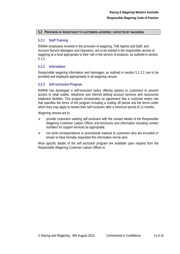#### **5.2 PROVISION OF ASSISTANCE TO CUSTOMERS ADVERSELY AFFECTED BY WAGERING**

## **5.2.1 Staff Training**

RWWA employees involved in the provision of wagering, TAB Agents and Staff, and Account Service Managers and Operators, are to be trained in the responsible service of wagering at a level appropriate to their role in the service of products, as outlined in section 5.1.3.

## **5.2.2 Information**

Responsible wagering information and messages, as outlined in section 5.1.2.2, are to be provided and displayed appropriately in all wagering venues.

## **5.2.3 Self-exclusion Program**

RWWA has developed a self-exclusion policy offering options to customers to prevent access to retail outlets, telephone and Internet betting account services and racecourse totalisator facilities. This program incorporates an agreement that a customer enters into that specifies the terms of the program including a cooling off period and the terms under which they may apply to revoke their self exclusion after a minimum period of 12 months.

Wagering venues are to:

- $\triangleright$  provide customers seeking self exclusion with the contact details of the Responsible Wagering Customer Liaison Officer and brochures and information including contact numbers for support services as appropriate.
- $\triangleright$  not send correspondence or promotional material to customers who are excluded or known to have formally requested this information not be sent.

More specific details of the self exclusion program are available upon request from the Responsible Wagering Customer Liaison Officer or.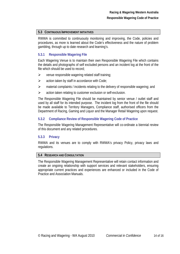## **5.3 CONTINUOUS IMPROVEMENT INITIATIVES**

RWWA is committed to continuously monitoring and improving, the Code, policies and procedures, as more is learned about the Code's effectiveness and the nature of problem gambling, through up to date research and learning's.

## **5.3.1 Responsible Wagering File**

Each Wagering Venue is to maintain their own Responsible Wagering File which contains the details and photographs of self excluded persons and an incident log at the front of the file which should be used to record;

- $\triangleright$  venue responsible wagering related staff training;
- $\triangleright$  action taken by staff in accordance with Code;
- $\triangleright$  material complaints / incidents relating to the delivery of responsible wagering; and
- $\triangleright$  action taken relating to customer exclusion or self-exclusion.

The Responsible Wagering File should be maintained by senior venue / outlet staff and used by all staff for its intended purpose. The incident log from the front of the file should be made available to Territory Managers, Compliance staff, authorised officers from the Department of Racing, Gaming and Liquor and the Manager Retail Wagering upon request.

## **5.3.2 Compliance Review of Responsible Wagering Code of Practice**

The Responsible Wagering Management Representative will co-ordinate a biennial review of this document and any related procedures.

#### **5.3.3 Privacy**

RWWA and its venues are to comply with RWWA's privacy Policy, privacy laws and regulations.

#### **5.4 RESEARCH AND CONSULTATION**

The Responsible Wagering Management Representative will retain contact information and create an ongoing relationship with support services and relevant stakeholders, ensuring appropriate current practices and experiences are enhanced or included in the Code of Practice and Association Manuals.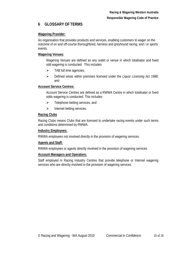# **6 GLOSSARY OF TERMS**

## **Wagering Provider:**

An organisation that provides products and services, enabling customers to wager on the outcome of on and off-course thoroughbred, harness and greyhound racing, and / or sports events.

## **Wagering Venues:**

Wagering Venues are defined as any outlet or venue in which totalisator and fixed odd wagering is conducted. This includes:

- $\triangleright$  TAB full time agencies;
- Defined areas within premises licensed under the *Liquor Licensing Act 1988*; and

## **Account Service Centres:**

Account Service Centres are defined as a RWWA Centre in which totalisator or fixed odds wagering is conducted. This includes:

- $\triangleright$  Telephone betting services; and
- $\triangleright$  Internet betting services.

## **Racing Clubs**

Racing Clubs means Clubs that are licensed to undertake racing events under such terms and conditions determined by RWWA.

## **Industry Employees:**

RWWA employees not involved directly in the provision of wagering services.

## **Agents and Staff:**

RWWA employees or agents directly involved in the provision of wagering services.

## **Account Managers and Operators:**

Staff employed in Racing Industry Centres that provide telephone or Internet wagering services who are directly involved in the provision of wagering services.